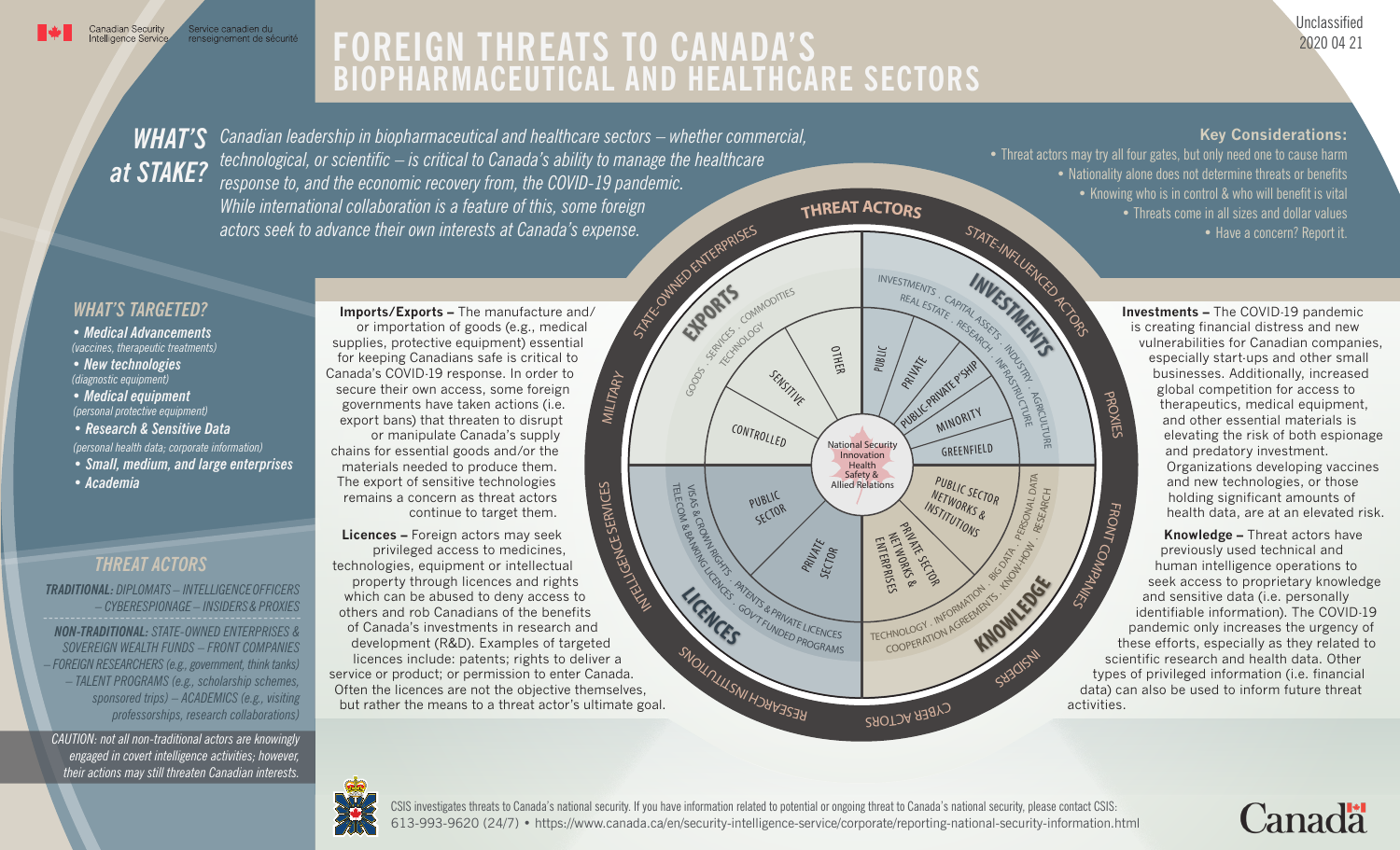## **FOREIGN THREATS TO CANADA'S BIOPHARMACEUTICAL AND HEALTHCARE SECTORS**

Unclassified 2020 04 21

## *WHAT'S at STAKE?*

*Canadian leadership in biopharmaceutical and healthcare sectors – whether commercial, technological, or scientific – is critical to Canada's ability to manage the healthcare response to, and the economic recovery from, the COVID-19 pandemic. While international collaboration is a feature of this, some foreign actors seek to advance their own interests at Canada's expense.*

**Key Considerations:** 

• Threat actors may try all four gates, but only need one to cause harm • Nationality alone does not determine threats or benefits • Knowing who is in control & who will benefit is vital • Threats come in all sizes and dollar values • Have a concern? Report it.

> PROXIES

## *WHAT'S TARGETED?*

*• Medical Advancements (vaccines, therapeutic treatments)*

*• New technologies (diagnostic equipment)*

*• Medical equipment (personal protective equipment)*

- *Research & Sensitive Data (personal health data; corporate information)*
- 
- *Small, medium, and large enterprises*
- *Academia*

## *THREAT ACTORS*

*TRADITIONAL: DIPLOMATS – INTELLIGENCE OFFICERS – CYBERESPIONAGE – INSIDERS& PROXIES*

*NON-TRADITIONAL: STATE-OWNED ENTERPRISES & SOVEREIGN WEALTH FUNDS – FRONT COMPANIES – FOREIGN RESEARCHERS (e.g., government, think tanks) – TALENT PROGRAMS (e.g., scholarship schemes, sponsored trips) – ACADEMICS (e.g., visiting professorships, research collaborations)*

*CAUTION: not all non-traditional actors are knowingly engaged in covert intelligence activities; however, their actions may still threaten Canadian interests.*

**Imports/Exports –** The manufacture and/ or importation of goods (e.g., medical supplies, protective equipment) essential for keeping Canadians safe is critical to Canada's COVID-19 response. In order to secure their own access, some foreign governments have taken actions (i.e. export bans) that threaten to disrupt or manipulate Canada's supply chains for essential goods and/or the materials needed to produce them. The export of sensitive technologies remains a concern as threat actors continue to target them.

USE CENTRAL **SERVICES Licences –** Foreign actors may seek privileged access to medicines, technologies, equipment or intellectual property through licences and rights which can be abused to deny access to others and rob Canadians of the benefits of Canada's investments in research and development (R&D). Examples of targeted licences include: patents; rights to deliver a service or product; or permission to enter Canada. Often the licences are not the objective themselves, but rather the means to a threat actor's ultimate goal.



 **Investments –** The COVID-19 pandemic is creating financial distress and new vulnerabilities for Canadian companies, especially start-ups and other small businesses. Additionally, increased global competition for access to therapeutics, medical equipment, and other essential materials is elevating the risk of both espionage and predatory investment. Organizations developing vaccines and new technologies, or those holding significant amounts of health data, are at an elevated risk.

FRONT  **Knowledge –** Threat actors have previously used technical and human intelligence operations to seek access to proprietary knowledge and sensitive data (i.e. personally identifiable information). The COVID-19 pandemic only increases the urgency of these efforts, especially as they related to scientific research and health data. Other types of privileged information (i.e. financial data) can also be used to inform future threat



613-993-9620 (24/7) • https://www.canada.ca/en/security-intelligence-service/corporate/reporting-national-security-information.html CSIS investigates threats to Canada's national security. If you have information related to potential or ongoing threat to Canada's national security, please contact CSIS: